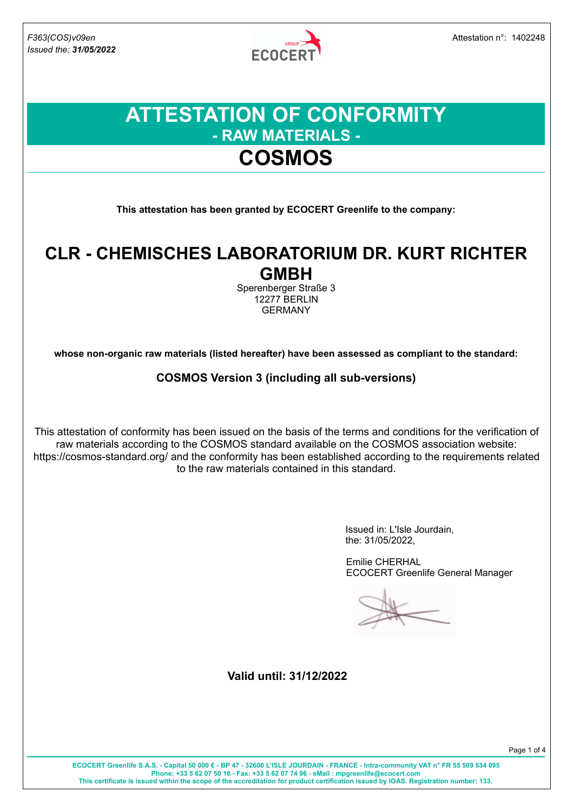*Issued the: 31/05/2022*

**ECOCERT** 

### **ATTESTATION OF CONFORMITY - RAW MATERIALS - COSMOS**

**This attestation has been granted by ECOCERT Greenlife to the company:**

### **CLR - CHEMISCHES LABORATORIUM DR. KURT RICHTER GMBH**

Sperenberger Straße 3 12277 BERLIN GERMANY

**whose non-organic raw materials (listed hereafter) have been assessed as compliant to the standard:**

#### **COSMOS Version 3 (including all sub-versions)**

This attestation of conformity has been issued on the basis of the terms and conditions for the verification of raw materials according to the COSMOS standard available on the COSMOS association website: https://cosmos-standard.org/ and the conformity has been established according to the requirements related to the raw materials contained in this standard.

> Issued in: L'Isle Jourdain, the: 31/05/2022,

Emilie CHERHAL ECOCERT Greenlife General Manager

**Valid until: 31/12/2022**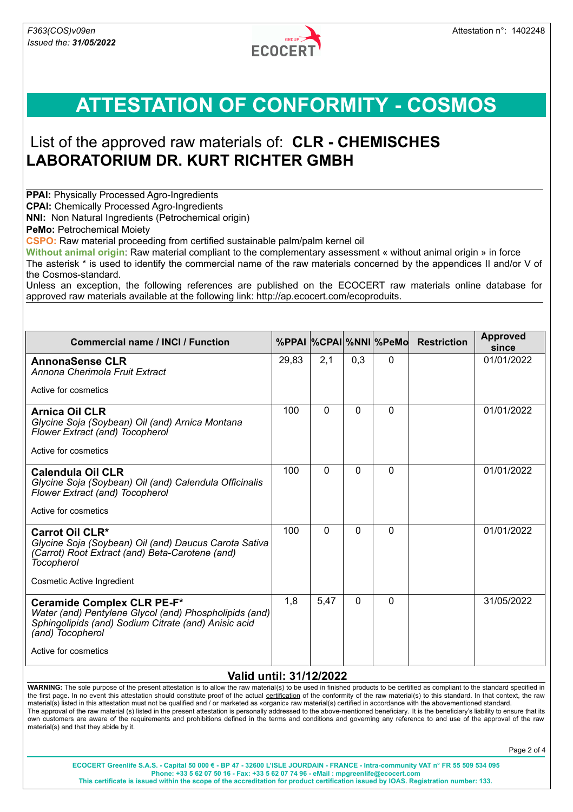

## **ATTESTATION OF CONFORMITY - COSMOS**

### List of the approved raw materials of: **CLR - CHEMISCHES LABORATORIUM DR. KURT RICHTER GMBH**

**PPAI:** Physically Processed Agro-Ingredients

**CPAI:** Chemically Processed Agro-Ingredients

**NNI:** Non Natural Ingredients (Petrochemical origin)

**PeMo:** Petrochemical Moiety

**CSPO:** Raw material proceeding from certified sustainable palm/palm kernel oil

**Without animal origin**: Raw material compliant to the complementary assessment « without animal origin » in force The asterisk \* is used to identify the commercial name of the raw materials concerned by the appendices II and/or V of the Cosmos-standard.

Unless an exception, the following references are published on the ECOCERT raw materials online database for approved raw materials available at the following link: http://ap.ecocert.com/ecoproduits.

| <b>Commercial name / INCI / Function</b>                                                                                                                                                 |       |          |          | %PPAI  %CPAI %NNI  %PeMo | <b>Restriction</b> | <b>Approved</b><br>since |
|------------------------------------------------------------------------------------------------------------------------------------------------------------------------------------------|-------|----------|----------|--------------------------|--------------------|--------------------------|
| <b>AnnonaSense CLR</b><br>Annona Cherimola Fruit Extract                                                                                                                                 | 29,83 | 2,1      | 0,3      | $\Omega$                 |                    | 01/01/2022               |
| Active for cosmetics                                                                                                                                                                     |       |          |          |                          |                    |                          |
| Arnica Oil CLR<br>Glycine Soja (Soybean) Oil (and) Arnica Montana<br>Flower Extract (and) Tocopherol<br>Active for cosmetics                                                             | 100   | 0        | $\Omega$ | $\Omega$                 |                    | 01/01/2022               |
| Calendula Oil CLR<br>Glycine Soja (Soybean) Oil (and) Calendula Officinalis<br>Flower Extract (and) Tocopherol<br>Active for cosmetics                                                   | 100   | $\Omega$ | $\Omega$ | $\Omega$                 |                    | 01/01/2022               |
| <b>Carrot Oil CLR*</b><br>Glycine Soja (Soybean) Oil (and) Daucus Carota Sativa<br>(Carrot) Root Extract (and) Beta-Carotene (and)<br>Tocopherol<br>Cosmetic Active Ingredient           | 100   | $\Omega$ | $\Omega$ | $\Omega$                 |                    | 01/01/2022               |
| Ceramide Complex CLR PE-F*<br>Water (and) Pentylene Glycol (and) Phospholipids (and)<br>Sphingolipids (and) Sodium Citrate (and) Anisic acid<br>(and) Tocopherol<br>Active for cosmetics | 1,8   | 5,47     | $\Omega$ | $\Omega$                 |                    | 31/05/2022               |

#### **Valid until: 31/12/2022**

WARNING: The sole purpose of the present attestation is to allow the raw material(s) to be used in finished products to be certified as compliant to the standard specified in the first page. In no event this attestation should constitute proof of the actual certification of the conformity of the raw material(s) to this standard. In that context, the raw material(s) listed in this attestation must not be qualified and / or marketed as «organic» raw material(s) certified in accordance with the abovementioned standard. The approval of the raw material (s) listed in the present attestation is personally addressed to the above-mentioned beneficiary. It is the beneficiary's liability to ensure that its own customers are aware of the requirements and prohibitions defined in the terms and conditions and governing any reference to and use of the approval of the raw material(s) and that they abide by it.

Page 2 of 4

**ECOCERT Greenlife S.A.S. - Capital 50 000 € - BP 47 - 32600 L'ISLE JOURDAIN - FRANCE - Intra-community VAT n° FR 55 509 534 095 Phone: +33 5 62 07 50 16 - Fax: +33 5 62 07 74 96 - eMail : mpgreenlife@ecocert.com This certificate is issued within the scope of the accreditation for product certification issued by IOAS. Registration number: 133.**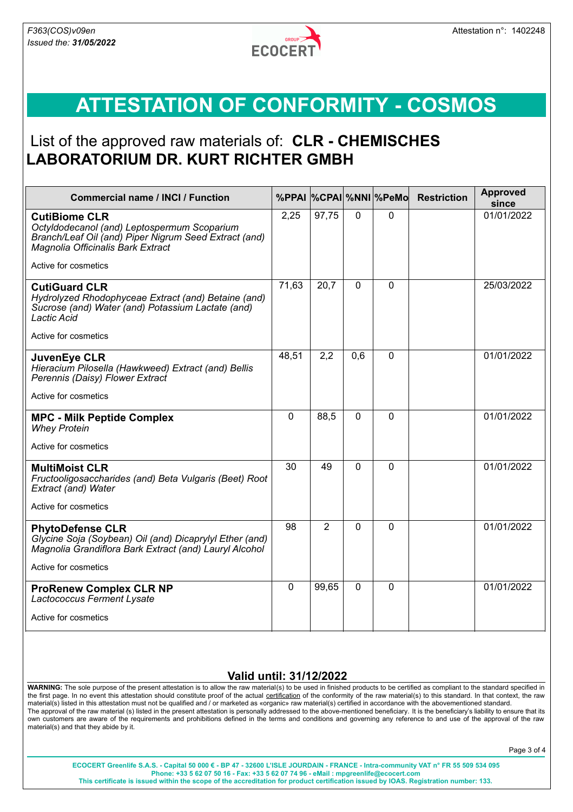

# **ATTESTATION OF CONFORMITY - COSMOS**

### List of the approved raw materials of: **CLR - CHEMISCHES LABORATORIUM DR. KURT RICHTER GMBH**

| <b>Commercial name / INCI / Function</b>                                                                                                                          |             |                |             | %PPAI %CPAI %NNI %PeMo | <b>Restriction</b> | <b>Approved</b><br>since |
|-------------------------------------------------------------------------------------------------------------------------------------------------------------------|-------------|----------------|-------------|------------------------|--------------------|--------------------------|
| <b>CutiBiome CLR</b><br>Octyldodecanol (and) Leptospermum Scoparium<br>Branch/Leaf Oil (and) Piper Nigrum Seed Extract (and)<br>Magnolia Officinalis Bark Extract | 2,25        | 97,75          | $\Omega$    | 0                      |                    | 01/01/2022               |
| Active for cosmetics                                                                                                                                              |             |                |             |                        |                    |                          |
| <b>CutiGuard CLR</b><br>Hydrolyzed Rhodophyceae Extract (and) Betaine (and)<br>Sucrose (and) Water (and) Potassium Lactate (and)<br>Lactic Acid                   | 71,63       | 20,7           | $\mathbf 0$ | 0                      |                    | 25/03/2022               |
| Active for cosmetics                                                                                                                                              |             |                |             |                        |                    |                          |
| JuvenEye CLR<br>Hieracium Pilosella (Hawkweed) Extract (and) Bellis<br>Perennis (Daisy) Flower Extract                                                            | 48,51       | 2,2            | 0,6         | $\Omega$               |                    | 01/01/2022               |
| Active for cosmetics                                                                                                                                              |             |                |             |                        |                    |                          |
| <b>MPC - Milk Peptide Complex</b><br><b>Whey Protein</b>                                                                                                          | $\mathbf 0$ | 88,5           | $\Omega$    | $\mathbf{0}$           |                    | 01/01/2022               |
| Active for cosmetics                                                                                                                                              |             |                |             |                        |                    |                          |
| <b>MultiMoist CLR</b><br>Fructooligosaccharides (and) Beta Vulgaris (Beet) Root<br>Extract (and) Water                                                            | 30          | 49             | $\Omega$    | $\mathbf 0$            |                    | 01/01/2022               |
| Active for cosmetics                                                                                                                                              |             |                |             |                        |                    |                          |
| <b>PhytoDefense CLR</b><br>Glycine Soja (Soybean) Oil (and) Dicaprylyl Ether (and)<br>Magnolia Grandiflora Bark Extract (and) Lauryl Alcohol                      | 98          | $\overline{2}$ | $\Omega$    | $\mathbf 0$            |                    | 01/01/2022               |
| Active for cosmetics                                                                                                                                              |             |                |             |                        |                    |                          |
| <b>ProRenew Complex CLR NP</b><br>Lactococcus Ferment Lysate<br>Active for cosmetics                                                                              | $\mathbf 0$ | 99,65          | $\mathbf 0$ | $\mathbf 0$            |                    | 01/01/2022               |
|                                                                                                                                                                   |             |                |             |                        |                    |                          |

#### **Valid until: 31/12/2022**

WARNING: The sole purpose of the present attestation is to allow the raw material(s) to be used in finished products to be certified as compliant to the standard specified in the first page. In no event this attestation should constitute proof of the actual certification of the conformity of the raw material(s) to this standard. In that context, the raw material(s) listed in this attestation must not be qualified and / or marketed as «organic» raw material(s) certified in accordance with the abovementioned standard. The approval of the raw material (s) listed in the present attestation is personally addressed to the above-mentioned beneficiary. It is the beneficiary's liability to ensure that its own customers are aware of the requirements and prohibitions defined in the terms and conditions and governing any reference to and use of the approval of the raw material(s) and that they abide by it.

Page 3 of 4

**ECOCERT Greenlife S.A.S. - Capital 50 000 € - BP 47 - 32600 L'ISLE JOURDAIN - FRANCE - Intra-community VAT n° FR 55 509 534 095 Phone: +33 5 62 07 50 16 - Fax: +33 5 62 07 74 96 - eMail : mpgreenlife@ecocert.com This certificate is issued within the scope of the accreditation for product certification issued by IOAS. Registration number: 133.**